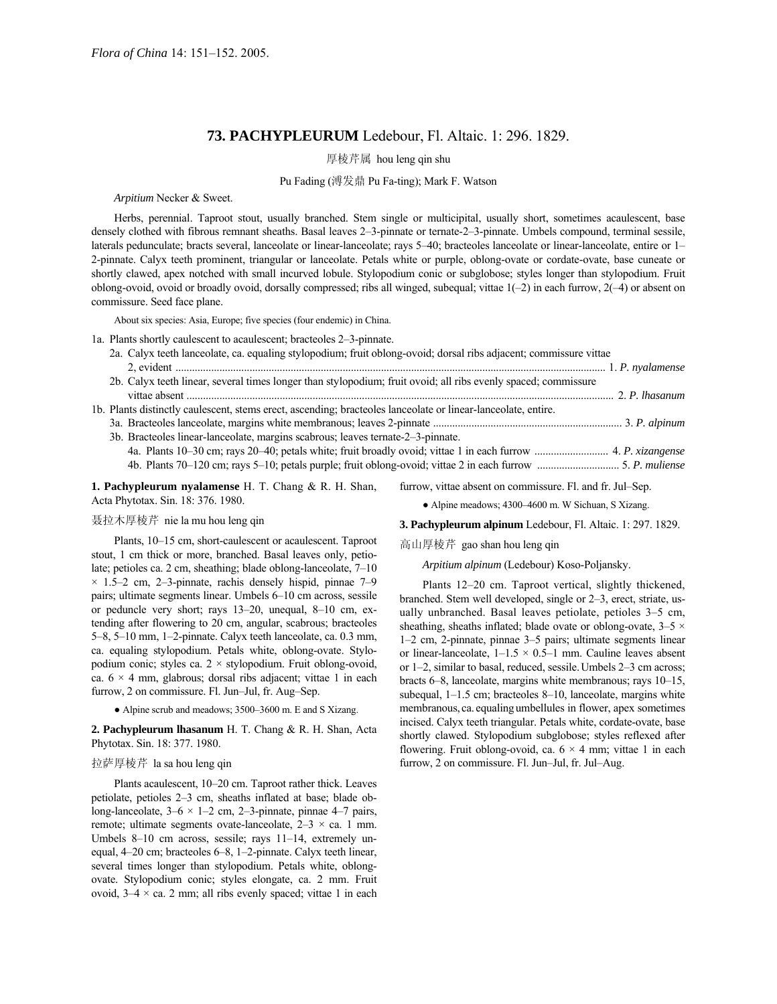# **73. PACHYPLEURUM** Ledebour, Fl. Altaic. 1: 296. 1829.

厚棱芹属 hou leng qin shu

#### Pu Fading (溥发鼎 Pu Fa-ting); Mark F. Watson

*Arpitium* Necker & Sweet.

Herbs, perennial. Taproot stout, usually branched. Stem single or multicipital, usually short, sometimes acaulescent, base densely clothed with fibrous remnant sheaths. Basal leaves 2-3-pinnate or ternate-2-3-pinnate. Umbels compound, terminal sessile, laterals pedunculate; bracts several, lanceolate or linear-lanceolate; rays 5-40; bracteoles lanceolate or linear-lanceolate, entire or 1-2-pinnate. Calyx teeth prominent, triangular or lanceolate. Petals white or purple, oblong-ovate or cordate-ovate, base cuneate or shortly clawed, apex notched with small incurved lobule. Stylopodium conic or subglobose; styles longer than stylopodium. Fruit oblong-ovoid, ovoid or broadly ovoid, dorsally compressed; ribs all winged, subequal; vittae  $1(-2)$  in each furrow,  $2(-4)$  or absent on commissure. Seed face plane.

About six species: Asia, Europe; five species (four endemic) in China.

1a. Plants shortly caulescent to acaulescent; bracteoles 2–3-pinnate.

| 2a. Calyx teeth lanceolate, ca. equaling stylopodium; fruit oblong-ovoid; dorsal ribs adjacent; commissure vittae |  |
|-------------------------------------------------------------------------------------------------------------------|--|
|                                                                                                                   |  |
| 2b. Calyx teeth linear, several times longer than stylopodium; fruit ovoid; all ribs evenly spaced; commissure    |  |
|                                                                                                                   |  |
| 1b. Plants distinctly caulescent, stems erect, ascending; bracteoles lanceolate or linear-lanceolate, entire.     |  |
|                                                                                                                   |  |
| 3b. Bracteoles linear-lanceolate, margins scabrous; leaves ternate-2-3-pinnate.                                   |  |
|                                                                                                                   |  |
|                                                                                                                   |  |
|                                                                                                                   |  |

**1. Pachypleurum nyalamense** H. T. Chang & R. H. Shan, Acta Phytotax. Sin. 18: 376. 1980.

furrow, vittae absent on commissure. Fl. and fr. Jul–Sep.

## 聂拉木厚棱芹 nie la mu hou leng qin

Plants, 10-15 cm, short-caulescent or acaulescent. Taproot stout, 1 cm thick or more, branched. Basal leaves only, petiolate; petioles ca.  $2 \text{ cm}$ , sheathing; blade oblong-lanceolate,  $7-10$  $\times$  1.5–2 cm, 2–3-pinnate, rachis densely hispid, pinnae 7–9 pairs; ultimate segments linear. Umbels 6–10 cm across, sessile or peduncle very short; rays  $13-20$ , unequal,  $8-10$  cm, extending after flowering to 20 cm, angular, scabrous; bracteoles 5 $-8$ , 5 $-10$  mm, 1 $-2$ -pinnate. Calyx teeth lanceolate, ca. 0.3 mm, ca. equaling stylopodium. Petals white, oblong-ovate. Stylopodium conic; styles ca.  $2 \times$  stylopodium. Fruit oblong-ovoid, ca.  $6 \times 4$  mm, glabrous; dorsal ribs adjacent; vittae 1 in each furrow, 2 on commissure. Fl. Jun-Jul, fr. Aug-Sep.

 $\bullet$  Alpine scrub and meadows; 3500–3600 m. E and S Xizang.

**2. Pachypleurum lhasanum** H. T. Chang & R. H. Shan, Acta Phytotax. Sin. 18: 377. 1980.

### 拉萨厚棱芹 la sa hou leng qin

Plants acaulescent, 10–20 cm. Taproot rather thick. Leaves petiolate, petioles 2-3 cm, sheaths inflated at base; blade oblong-lanceolate,  $3-6 \times 1-2$  cm, 2-3-pinnate, pinnae 4-7 pairs, remote; ultimate segments ovate-lanceolate,  $2-3 \times ca$ . 1 mm. Umbels 8-10 cm across, sessile; rays 11-14, extremely unequal, 4–20 cm; bracteoles 6–8, 1–2-pinnate. Calyx teeth linear, several times longer than stylopodium. Petals white, oblongovate. Stylopodium conic; styles elongate, ca. 2 mm. Fruit ovoid,  $3-4 \times$  ca. 2 mm; all ribs evenly spaced; vittae 1 in each

 $\bullet$  Alpine meadows; 4300–4600 m. W Sichuan, S Xizang. **3. Pachypleurum alpinum** Ledebour, Fl. Altaic. 1: 297. 1829.

高山厚棱芹 gao shan hou leng qin

*Arpitium alpinum* (Ledebour) Koso-Poljansky.

Plants 12-20 cm. Taproot vertical, slightly thickened, branched. Stem well developed, single or 2–3, erect, striate, usually unbranched. Basal leaves petiolate, petioles  $3-5$  cm, sheathing, sheaths inflated; blade ovate or oblong-ovate,  $3-5 \times$  $1-2$  cm, 2-pinnate, pinnae  $3-5$  pairs; ultimate segments linear or linear-lanceolate,  $1-1.5 \times 0.5-1$  mm. Cauline leaves absent or 1–2, similar to basal, reduced, sessile. Umbels 2–3 cm across; bracts 6–8, lanceolate, margins white membranous; rays 10–15, subequal,  $1-1.5$  cm; bracteoles 8-10, lanceolate, margins white membranous, ca. equaling umbellules in flower, apex sometimes incised. Calyx teeth triangular. Petals white, cordate-ovate, base shortly clawed. Stylopodium subglobose; styles reflexed after flowering. Fruit oblong-ovoid, ca.  $6 \times 4$  mm; vittae 1 in each furrow, 2 on commissure. Fl. Jun–Jul, fr. Jul–Aug.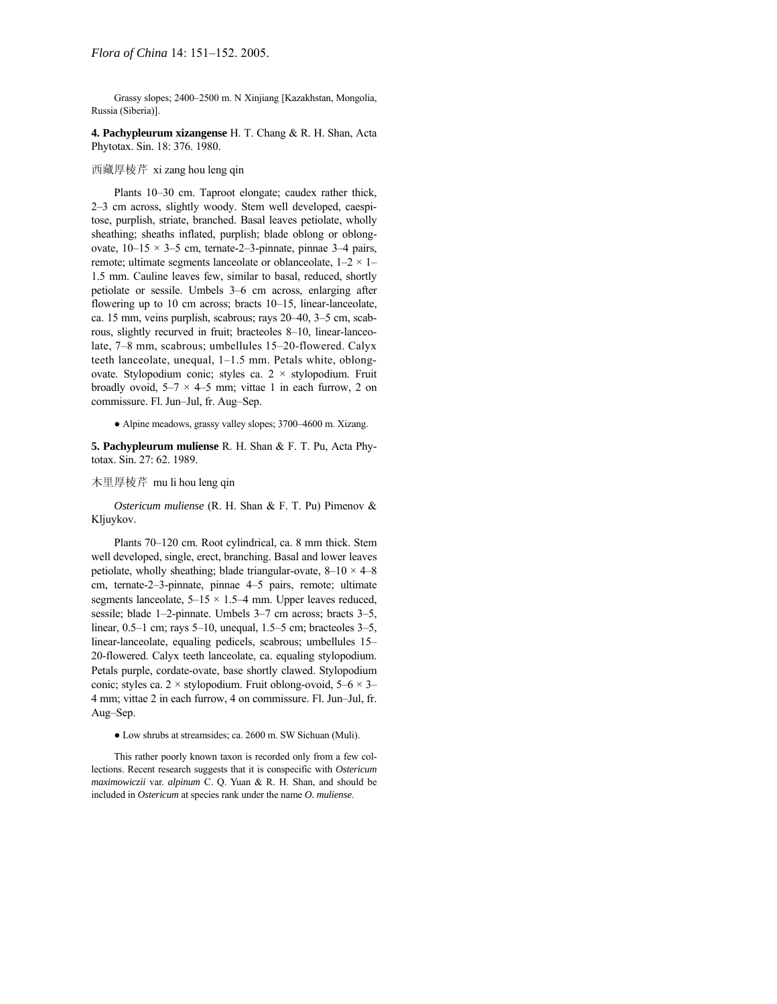Grassy slopes; 2400-2500 m. N Xinjiang [Kazakhstan, Mongolia, Russia (Siberia)].

**4. Pachypleurum xizangense** H. T. Chang & R. H. Shan, Acta Phytotax. Sin. 18: 376. 1980.

### 西藏厚棱芹 xi zang hou leng qin

Plants 10-30 cm. Taproot elongate; caudex rather thick, 2–3 cm across, slightly woody. Stem well developed, caespitose, purplish, striate, branched. Basal leaves petiolate, wholly sheathing; sheaths inflated, purplish; blade oblong or oblongovate,  $10-15 \times 3-5$  cm, ternate-2-3-pinnate, pinnae 3-4 pairs, remote; ultimate segments lanceolate or oblanceolate,  $1-2 \times 1$ 1.5 mm. Cauline leaves few, similar to basal, reduced, shortly petiolate or sessile. Umbels 3–6 cm across, enlarging after flowering up to 10 cm across; bracts  $10-15$ , linear-lanceolate, ca. 15 mm, veins purplish, scabrous; rays  $20-40$ ,  $3-5$  cm, scabrous, slightly recurved in fruit; bracteoles 8–10, linear-lanceolate, 7–8 mm, scabrous; umbellules 15–20-flowered. Calyx teeth lanceolate, unequal,  $1-1.5$  mm. Petals white, oblongovate. Stylopodium conic; styles ca. 2 × stylopodium. Fruit broadly ovoid,  $5-7 \times 4-5$  mm; vittae 1 in each furrow, 2 on commissure. Fl. Jun-Jul, fr. Aug-Sep.

• Alpine meadows, grassy valley slopes; 3700–4600 m. Xizang.

**5. Pachypleurum muliense** R. H. Shan & F. T. Pu, Acta Phytotax. Sin. 27: 62. 1989.

木里厚棱芹 mu li hou leng qin

*Ostericum muliense* (R. H. Shan & F. T. Pu) Pimenov & Kljuykov.

Plants 70–120 cm. Root cylindrical, ca. 8 mm thick. Stem well developed, single, erect, branching. Basal and lower leaves petiolate, wholly sheathing; blade triangular-ovate,  $8-10 \times 4-8$ cm, ternate-2-3-pinnate, pinnae 4-5 pairs, remote; ultimate segments lanceolate,  $5-15 \times 1.5-4$  mm. Upper leaves reduced, sessile; blade  $1-2$ -pinnate. Umbels  $3-7$  cm across; bracts  $3-5$ , linear,  $0.5-1$  cm; rays  $5-10$ , unequal,  $1.5-5$  cm; bracteoles  $3-5$ , linear-lanceolate, equaling pedicels, scabrous; umbellules 15-20-flowered. Calyx teeth lanceolate, ca. equaling stylopodium. Petals purple, cordate-ovate, base shortly clawed. Stylopodium conic; styles ca. 2 × stylopodium. Fruit oblong-ovoid,  $5-6 \times 3$ – 4 mm; vittae 2 in each furrow, 4 on commissure. Fl. Jun-Jul, fr. Aug-Sep.

● Low shrubs at streamsides; ca. 2600 m. SW Sichuan (Muli).

This rather poorly known taxon is recorded only from a few collections. Recent research suggests that it is conspecific with *Ostericum maximowiczii* var. *alpinum* C. Q. Yuan & R. H. Shan, and should be included in *Ostericum* at species rank under the name *O. muliense*.